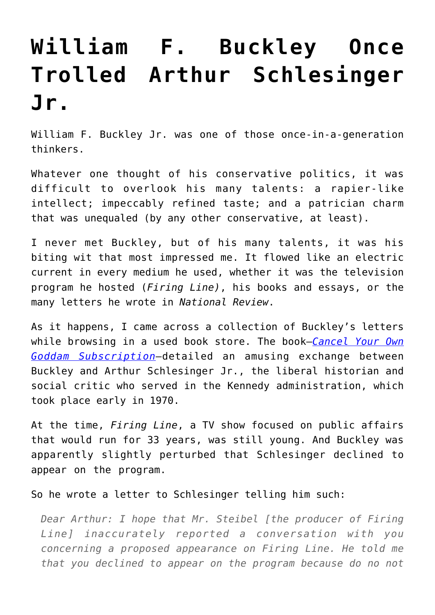## **[William F. Buckley Once](https://intellectualtakeout.org/2016/06/william-f-buckley-once-trolled-arthur-schlesinger-jr/) [Trolled Arthur Schlesinger](https://intellectualtakeout.org/2016/06/william-f-buckley-once-trolled-arthur-schlesinger-jr/) [Jr.](https://intellectualtakeout.org/2016/06/william-f-buckley-once-trolled-arthur-schlesinger-jr/)**

William F. Buckley Jr. was one of those once-in-a-generation thinkers.

Whatever one thought of his conservative politics, it was difficult to overlook his many talents: a rapier-like intellect; impeccably refined taste; and a patrician charm that was unequaled (by any other conservative, at least).

I never met Buckley, but of his many talents, it was his biting wit that most impressed me. It flowed like an electric current in every medium he used, whether it was the television program he hosted (*Firing Line)*, his books and essays, or the many letters he wrote in *National Review*.

As it happens, I came across a collection of Buckley's letters while browsing in a used book store. The book—*[Cancel Your Own](http://amzn.to/1ZyB7st) [Goddam Subscription](http://amzn.to/1ZyB7st)*—detailed an amusing exchange between Buckley and Arthur Schlesinger Jr., the liberal historian and social critic who served in the Kennedy administration, which took place early in 1970.

At the time, *Firing Line*, a TV show focused on public affairs that would run for 33 years, was still young. And Buckley was apparently slightly perturbed that Schlesinger declined to appear on the program.

So he wrote a letter to Schlesinger telling him such:

*Dear Arthur: I hope that Mr. Steibel [the producer of Firing Line] inaccurately reported a conversation with you concerning a proposed appearance on Firing Line. He told me that you declined to appear on the program because do no not*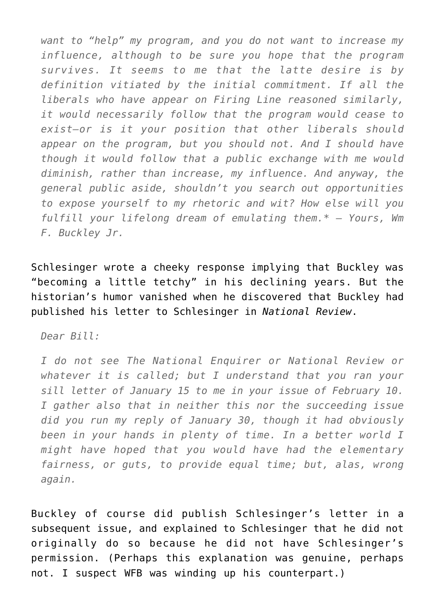*want to "help" my program, and you do not want to increase my influence, although to be sure you hope that the program survives. It seems to me that the latte desire is by definition vitiated by the initial commitment. If all the liberals who have appear on Firing Line reasoned similarly, it would necessarily follow that the program would cease to exist—or is it your position that other liberals should appear on the program, but you should not. And I should have though it would follow that a public exchange with me would diminish, rather than increase, my influence. And anyway, the general public aside, shouldn't you search out opportunities to expose yourself to my rhetoric and wit? How else will you fulfill your lifelong dream of emulating them.\* – Yours, Wm F. Buckley Jr.*

Schlesinger wrote a cheeky response implying that Buckley was "becoming a little tetchy" in his declining years. But the historian's humor vanished when he discovered that Buckley had published his letter to Schlesinger in *National Review*.

*Dear Bill:* 

*I do not see The National Enquirer or National Review or whatever it is called; but I understand that you ran your sill letter of January 15 to me in your issue of February 10. I gather also that in neither this nor the succeeding issue did you run my reply of January 30, though it had obviously been in your hands in plenty of time. In a better world I might have hoped that you would have had the elementary fairness, or guts, to provide equal time; but, alas, wrong again.* 

Buckley of course did publish Schlesinger's letter in a subsequent issue, and explained to Schlesinger that he did not originally do so because he did not have Schlesinger's permission. (Perhaps this explanation was genuine, perhaps not. I suspect WFB was winding up his counterpart.)